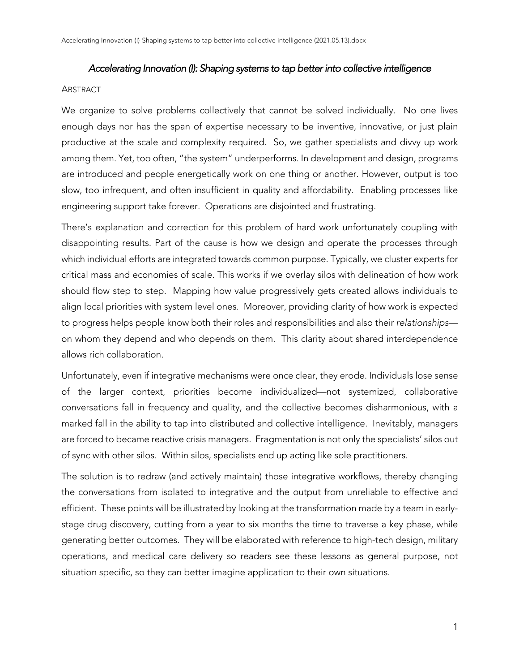### *Accelerating Innovation (I): Shaping systems to tap better into collective intelligence*

#### **ABSTRACT**

We organize to solve problems collectively that cannot be solved individually. No one lives enough days nor has the span of expertise necessary to be inventive, innovative, or just plain productive at the scale and complexity required. So, we gather specialists and divvy up work among them. Yet, too often, "the system" underperforms. In development and design, programs are introduced and people energetically work on one thing or another. However, output is too slow, too infrequent, and often insufficient in quality and affordability. Enabling processes like engineering support take forever. Operations are disjointed and frustrating.

There's explanation and correction for this problem of hard work unfortunately coupling with disappointing results. Part of the cause is how we design and operate the processes through which individual efforts are integrated towards common purpose. Typically, we cluster experts for critical mass and economies of scale. This works if we overlay silos with delineation of how work should flow step to step. Mapping how value progressively gets created allows individuals to align local priorities with system level ones. Moreover, providing clarity of how work is expected to progress helps people know both their roles and responsibilities and also their *relationships* on whom they depend and who depends on them. This clarity about shared interdependence allows rich collaboration.

Unfortunately, even if integrative mechanisms were once clear, they erode. Individuals lose sense of the larger context, priorities become individualized—not systemized, collaborative conversations fall in frequency and quality, and the collective becomes disharmonious, with a marked fall in the ability to tap into distributed and collective intelligence. Inevitably, managers are forced to became reactive crisis managers. Fragmentation is not only the specialists' silos out of sync with other silos. Within silos, specialists end up acting like sole practitioners.

The solution is to redraw (and actively maintain) those integrative workflows, thereby changing the conversations from isolated to integrative and the output from unreliable to effective and efficient. These points will be illustrated by looking at the transformation made by a team in earlystage drug discovery, cutting from a year to six months the time to traverse a key phase, while generating better outcomes. They will be elaborated with reference to high-tech design, military operations, and medical care delivery so readers see these lessons as general purpose, not situation specific, so they can better imagine application to their own situations.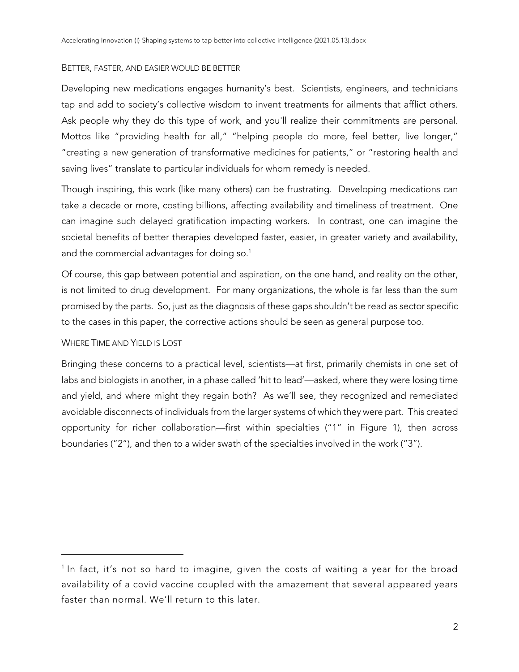### BETTER, FASTER, AND EASIER WOULD BE BETTER

Developing new medications engages humanity's best. Scientists, engineers, and technicians tap and add to society's collective wisdom to invent treatments for ailments that afflict others. Ask people why they do this type of work, and you'll realize their commitments are personal. Mottos like "providing health for all," "helping people do more, feel better, live longer," "creating a new generation of transformative medicines for patients," or "restoring health and saving lives" translate to particular individuals for whom remedy is needed.

Though inspiring, this work (like many others) can be frustrating. Developing medications can take a decade or more, costing billions, affecting availability and timeliness of treatment. One can imagine such delayed gratification impacting workers. In contrast, one can imagine the societal benefits of better therapies developed faster, easier, in greater variety and availability, and the commercial advantages for doing so. $^{\rm 1}$ 

Of course, this gap between potential and aspiration, on the one hand, and reality on the other, is not limited to drug development. For many organizations, the whole is far less than the sum promised by the parts. So, just as the diagnosis of these gaps shouldn't be read as sector specific to the cases in this paper, the corrective actions should be seen as general purpose too.

## WHERE TIME AND YIFLD IS LOST

Bringing these concerns to a practical level, scientists—at first, primarily chemists in one set of labs and biologists in another, in a phase called 'hit to lead'—asked, where they were losing time and yield, and where might they regain both? As we'll see, they recognized and remediated avoidable disconnects of individuals from the larger systems of which they were part. This created opportunity for richer collaboration—first within specialties ("1" in Figure 1), then across boundaries ("2"), and then to a wider swath of the specialties involved in the work ("3").

<sup>&</sup>lt;sup>1</sup> In fact, it's not so hard to imagine, given the costs of waiting a year for the broad availability of a covid vaccine coupled with the amazement that several appeared years faster than normal. We'll return to this later.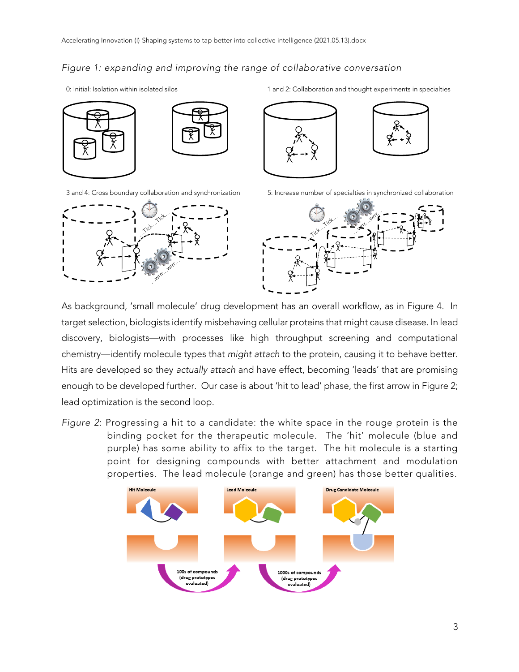# *Figure 1: expanding and improving the range of collaborative conversation*





3 and 4: Cross boundary collaboration and synchronization 5: Increase number of specialties in synchronized collaboration







As background, 'small molecule' drug development has an overall workflow, as in Figure 4. In target selection, biologists identify misbehaving cellular proteins that might cause disease. In lead discovery, biologists—with processes like high throughput screening and computational chemistry—identify molecule types that *might attach* to the protein, causing it to behave better. Hits are developed so they *actually attach* and have effect, becoming 'leads' that are promising enough to be developed further. Our case is about 'hit to lead' phase, the first arrow in Figure 2; lead optimization is the second loop.

*Figure 2*: Progressing a hit to a candidate: the white space in the rouge protein is the binding pocket for the therapeutic molecule. The 'hit' molecule (blue and purple) has some ability to affix to the target. The hit molecule is a starting point for designing compounds with better attachment and modulation properties. The lead molecule (orange and green) has those better qualities.

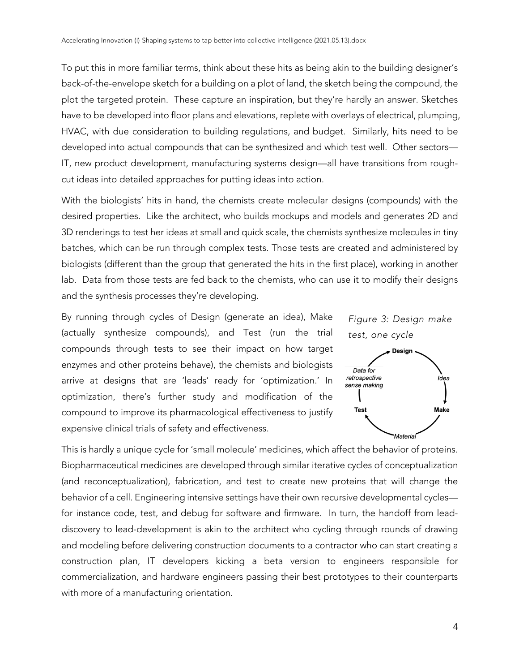To put this in more familiar terms, think about these hits as being akin to the building designer's back-of-the-envelope sketch for a building on a plot of land, the sketch being the compound, the plot the targeted protein. These capture an inspiration, but they're hardly an answer. Sketches have to be developed into floor plans and elevations, replete with overlays of electrical, plumping, HVAC, with due consideration to building regulations, and budget. Similarly, hits need to be developed into actual compounds that can be synthesized and which test well. Other sectors— IT, new product development, manufacturing systems design—all have transitions from roughcut ideas into detailed approaches for putting ideas into action.

With the biologists' hits in hand, the chemists create molecular designs (compounds) with the desired properties. Like the architect, who builds mockups and models and generates 2D and 3D renderings to test her ideas at small and quick scale, the chemists synthesize molecules in tiny batches, which can be run through complex tests. Those tests are created and administered by biologists (different than the group that generated the hits in the first place), working in another lab. Data from those tests are fed back to the chemists, who can use it to modify their designs and the synthesis processes they're developing.

By running through cycles of Design (generate an idea), Make (actually synthesize compounds), and Test (run the trial compounds through tests to see their impact on how target enzymes and other proteins behave), the chemists and biologists arrive at designs that are 'leads' ready for 'optimization.' In optimization, there's further study and modification of the compound to improve its pharmacological effectiveness to justify expensive clinical trials of safety and effectiveness.



This is hardly a unique cycle for 'small molecule' medicines, which affect the behavior of proteins. Biopharmaceutical medicines are developed through similar iterative cycles of conceptualization (and reconceptualization), fabrication, and test to create new proteins that will change the behavior of a cell. Engineering intensive settings have their own recursive developmental cycles for instance code, test, and debug for software and firmware. In turn, the handoff from leaddiscovery to lead-development is akin to the architect who cycling through rounds of drawing and modeling before delivering construction documents to a contractor who can start creating a construction plan, IT developers kicking a beta version to engineers responsible for commercialization, and hardware engineers passing their best prototypes to their counterparts with more of a manufacturing orientation.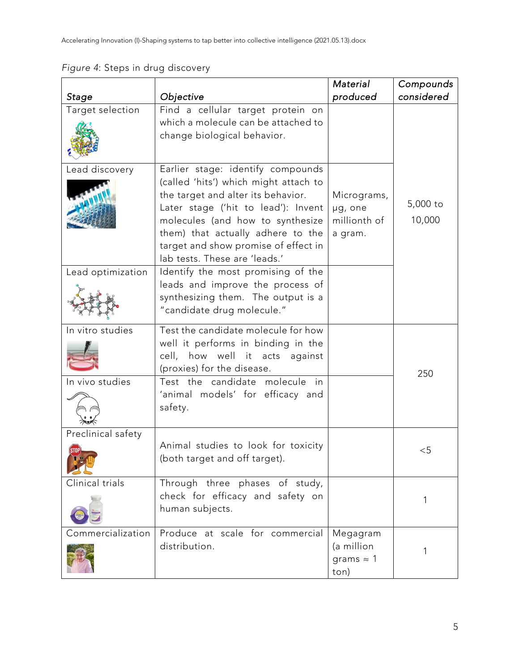|                    |                                                                                                                                                                                                                                                                                                           | Material                                            | Compounds          |
|--------------------|-----------------------------------------------------------------------------------------------------------------------------------------------------------------------------------------------------------------------------------------------------------------------------------------------------------|-----------------------------------------------------|--------------------|
| Stage              | Objective                                                                                                                                                                                                                                                                                                 | produced                                            | considered         |
| Target selection   | Find a cellular target protein on<br>which a molecule can be attached to<br>change biological behavior.                                                                                                                                                                                                   |                                                     |                    |
| Lead discovery     | Earlier stage: identify compounds<br>(called 'hits') which might attach to<br>the target and alter its behavior.<br>Later stage ('hit to lead'): Invent<br>molecules (and how to synthesize<br>them) that actually adhere to the<br>target and show promise of effect in<br>lab tests. These are 'leads.' | Micrograms,<br>µg, one<br>millionth of<br>a gram.   | 5,000 to<br>10,000 |
| Lead optimization  | Identify the most promising of the<br>leads and improve the process of<br>synthesizing them. The output is a<br>"candidate drug molecule."                                                                                                                                                                |                                                     |                    |
| In vitro studies   | Test the candidate molecule for how<br>well it performs in binding in the<br>cell, how well it acts against<br>(proxies) for the disease.                                                                                                                                                                 |                                                     | 250                |
| In vivo studies    | Test the candidate molecule<br>in<br>'animal models' for efficacy and<br>safety.                                                                                                                                                                                                                          |                                                     |                    |
| Preclinical safety | Animal studies to look for toxicity<br>(both target and off target).                                                                                                                                                                                                                                      |                                                     | $<$ 5              |
| Clinical trials    | Through three phases of study,<br>check for efficacy and safety on<br>human subjects.                                                                                                                                                                                                                     |                                                     | 1                  |
| Commercialization  | Produce at scale for commercial<br>distribution.                                                                                                                                                                                                                                                          | Megagram<br>(a million<br>grams $\approx$ 1<br>ton) |                    |

*Figure 4*: Steps in drug discovery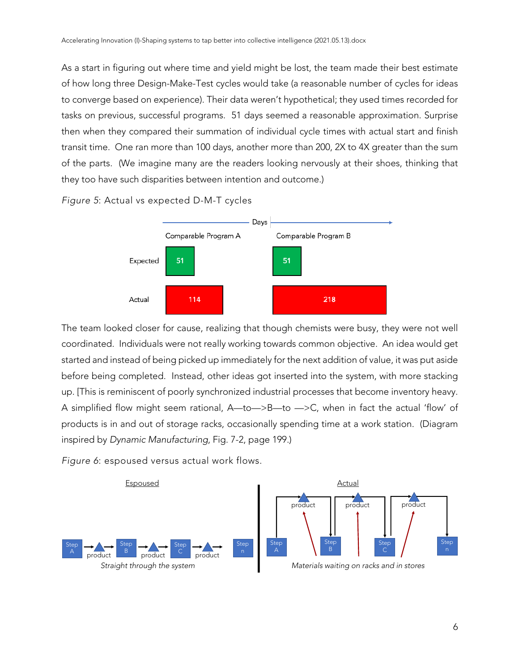As a start in figuring out where time and yield might be lost, the team made their best estimate of how long three Design-Make-Test cycles would take (a reasonable number of cycles for ideas to converge based on experience). Their data weren't hypothetical; they used times recorded for tasks on previous, successful programs. 51 days seemed a reasonable approximation. Surprise then when they compared their summation of individual cycle times with actual start and finish transit time. One ran more than 100 days, another more than 200, 2X to 4X greater than the sum of the parts. (We imagine many are the readers looking nervously at their shoes, thinking that they too have such disparities between intention and outcome.)





The team looked closer for cause, realizing that though chemists were busy, they were not well coordinated. Individuals were not really working towards common objective. An idea would get started and instead of being picked up immediately for the next addition of value, it was put aside before being completed. Instead, other ideas got inserted into the system, with more stacking up. [This is reminiscent of poorly synchronized industrial processes that become inventory heavy. A simplified flow might seem rational, A—to—>B—to —>C, when in fact the actual 'flow' of products is in and out of storage racks, occasionally spending time at a work station. (Diagram inspired by *Dynamic Manufacturing*, Fig. 7-2, page 199.)

*Figure 6*: espoused versus actual work flows.

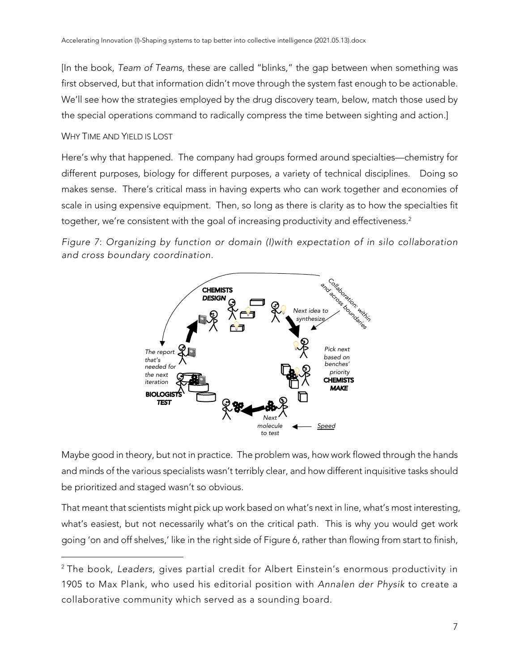[In the book, *Team of Teams*, these are called "blinks," the gap between when something was first observed, but that information didn't move through the system fast enough to be actionable. We'll see how the strategies employed by the drug discovery team, below, match those used by the special operations command to radically compress the time between sighting and action.]

## WHY TIME AND YIELD IS LOST

Here's why that happened. The company had groups formed around specialties—chemistry for different purposes, biology for different purposes, a variety of technical disciplines. Doing so makes sense. There's critical mass in having experts who can work together and economies of scale in using expensive equipment. Then, so long as there is clarity as to how the specialties fit together, we're consistent with the goal of increasing productivity and effectiveness.<sup>2</sup>

*Figure 7*: *Organizing by function or domain (I)with expectation of in silo collaboration and cross boundary coordination.*



Maybe good in theory, but not in practice. The problem was, how work flowed through the hands and minds of the various specialists wasn't terribly clear, and how different inquisitive tasks should be prioritized and staged wasn't so obvious.

That meant that scientists might pick up work based on what's next in line, what's most interesting, what's easiest, but not necessarily what's on the critical path. This is why you would get work going 'on and off shelves,' like in the right side of Figure 6, rather than flowing from start to finish,

<sup>2</sup> The book, *Leaders*, gives partial credit for Albert Einstein's enormous productivity in 1905 to Max Plank, who used his editorial position with *Annalen der Physik* to create a collaborative community which served as a sounding board.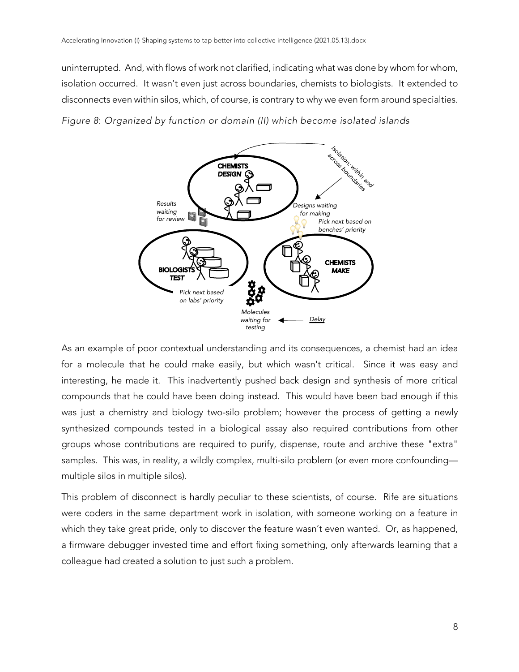uninterrupted. And, with flows of work not clarified, indicating what was done by whom for whom, isolation occurred. It wasn't even just across boundaries, chemists to biologists. It extended to disconnects even within silos, which, of course, is contrary to why we even form around specialties.

*Figure 8*: *Organized by function or domain (II) which become isolated islands*



As an example of poor contextual understanding and its consequences, a chemist had an idea for a molecule that he could make easily, but which wasn't critical. Since it was easy and interesting, he made it. This inadvertently pushed back design and synthesis of more critical compounds that he could have been doing instead. This would have been bad enough if this was just a chemistry and biology two-silo problem; however the process of getting a newly synthesized compounds tested in a biological assay also required contributions from other groups whose contributions are required to purify, dispense, route and archive these "extra" samples. This was, in reality, a wildly complex, multi-silo problem (or even more confounding multiple silos in multiple silos).

This problem of disconnect is hardly peculiar to these scientists, of course. Rife are situations were coders in the same department work in isolation, with someone working on a feature in which they take great pride, only to discover the feature wasn't even wanted. Or, as happened, a firmware debugger invested time and effort fixing something, only afterwards learning that a colleague had created a solution to just such a problem.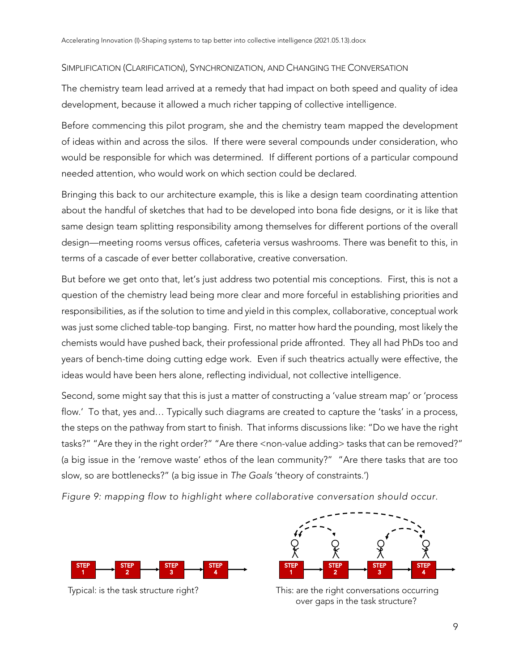# SIMPLIFICATION (CLARIFICATION), SYNCHRONIZATION, AND CHANGING THE CONVERSATION

The chemistry team lead arrived at a remedy that had impact on both speed and quality of idea development, because it allowed a much richer tapping of collective intelligence.

Before commencing this pilot program, she and the chemistry team mapped the development of ideas within and across the silos. If there were several compounds under consideration, who would be responsible for which was determined. If different portions of a particular compound needed attention, who would work on which section could be declared.

Bringing this back to our architecture example, this is like a design team coordinating attention about the handful of sketches that had to be developed into bona fide designs, or it is like that same design team splitting responsibility among themselves for different portions of the overall design—meeting rooms versus offices, cafeteria versus washrooms. There was benefit to this, in terms of a cascade of ever better collaborative, creative conversation.

But before we get onto that, let's just address two potential mis conceptions. First, this is not a question of the chemistry lead being more clear and more forceful in establishing priorities and responsibilities, as if the solution to time and yield in this complex, collaborative, conceptual work was just some cliched table-top banging. First, no matter how hard the pounding, most likely the chemists would have pushed back, their professional pride affronted. They all had PhDs too and years of bench-time doing cutting edge work. Even if such theatrics actually were effective, the ideas would have been hers alone, reflecting individual, not collective intelligence.

Second, some might say that this is just a matter of constructing a 'value stream map' or 'process flow.' To that, yes and... Typically such diagrams are created to capture the 'tasks' in a process, the steps on the pathway from start to finish. That informs discussions like: "Do we have the right tasks?" "Are they in the right order?" "Are there <non-value adding> tasks that can be removed?" (a big issue in the 'remove waste' ethos of the lean community?" "Are there tasks that are too slow, so are bottlenecks?" (a big issue in *The Goals* 'theory of constraints.')

*Figure 9: mapping flow to highlight where collaborative conversation should occur.*



Typical: is the task structure right?



This: are the right conversations occurring over gaps in the task structure?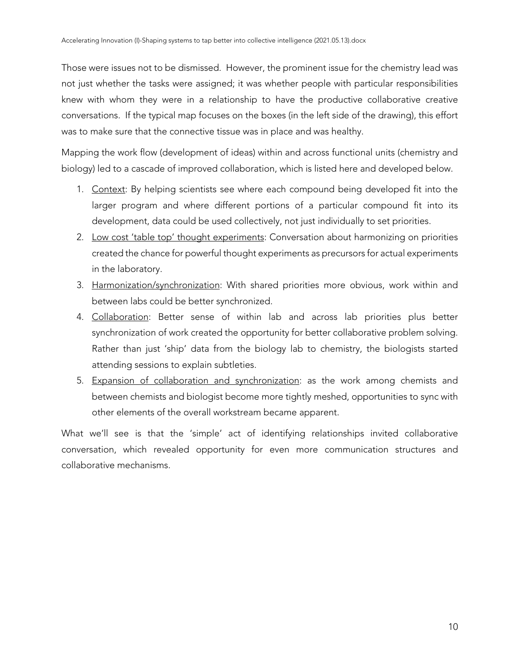Those were issues not to be dismissed. However, the prominent issue for the chemistry lead was not just whether the tasks were assigned; it was whether people with particular responsibilities knew with whom they were in a relationship to have the productive collaborative creative conversations. If the typical map focuses on the boxes (in the left side of the drawing), this effort was to make sure that the connective tissue was in place and was healthy.

Mapping the work flow (development of ideas) within and across functional units (chemistry and biology) led to a cascade of improved collaboration, which is listed here and developed below.

- 1. Context: By helping scientists see where each compound being developed fit into the larger program and where different portions of a particular compound fit into its development, data could be used collectively, not just individually to set priorities.
- 2. Low cost 'table top' thought experiments: Conversation about harmonizing on priorities created the chance for powerful thought experiments as precursors for actual experiments in the laboratory.
- 3. Harmonization/synchronization: With shared priorities more obvious, work within and between labs could be better synchronized.
- 4. Collaboration: Better sense of within lab and across lab priorities plus better synchronization of work created the opportunity for better collaborative problem solving. Rather than just 'ship' data from the biology lab to chemistry, the biologists started attending sessions to explain subtleties.
- 5. Expansion of collaboration and synchronization: as the work among chemists and between chemists and biologist become more tightly meshed, opportunities to sync with other elements of the overall workstream became apparent.

What we'll see is that the 'simple' act of identifying relationships invited collaborative conversation, which revealed opportunity for even more communication structures and collaborative mechanisms.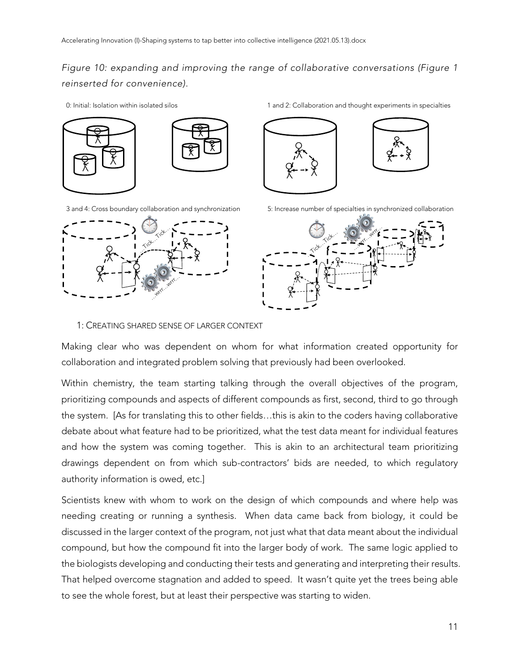*Figure 10: expanding and improving the range of collaborative conversations (Figure 1 reinserted for convenience).*

3 and 4: Cross boundary collaboration and synchronization 5: Increase number of specialties in synchronized collaboration



0: Initial: Isolation within isolated silos 1 and 2: Collaboration and thought experiments in specialties





#### 1: CREATING SHARED SENSE OF LARGER CONTEXT

Making clear who was dependent on whom for what information created opportunity for collaboration and integrated problem solving that previously had been overlooked.

Within chemistry, the team starting talking through the overall objectives of the program, prioritizing compounds and aspects of different compounds as first, second, third to go through the system. [As for translating this to other fields…this is akin to the coders having collaborative debate about what feature had to be prioritized, what the test data meant for individual features and how the system was coming together. This is akin to an architectural team prioritizing drawings dependent on from which sub-contractors' bids are needed, to which regulatory authority information is owed, etc.]

Scientists knew with whom to work on the design of which compounds and where help was needing creating or running a synthesis. When data came back from biology, it could be discussed in the larger context of the program, not just what that data meant about the individual compound, but how the compound fit into the larger body of work. The same logic applied to the biologists developing and conducting their tests and generating and interpreting their results. That helped overcome stagnation and added to speed. It wasn't quite yet the trees being able to see the whole forest, but at least their perspective was starting to widen.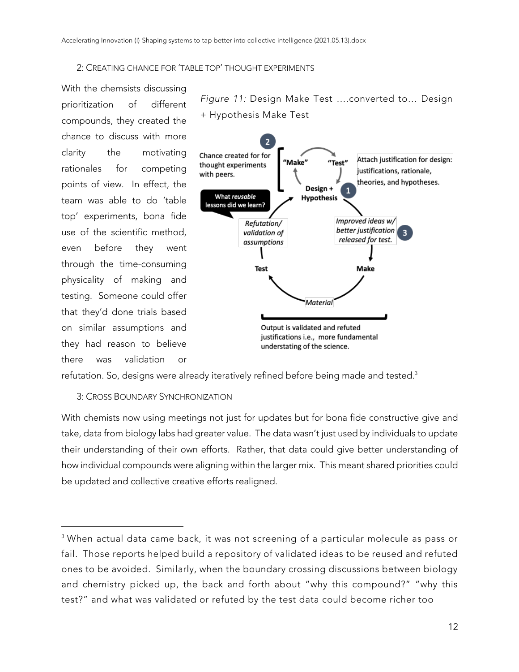### 2: CREATING CHANCE FOR 'TABLE TOP' THOUGHT EXPERIMENTS

With the chemsists discussing prioritization of different compounds, they created the chance to discuss with more clarity the motivating rationales for competing points of view. In effect, the team was able to do 'table top' experiments, bona fide use of the scientific method, even before they went through the time-consuming physicality of making and testing. Someone could offer that they'd done trials based on similar assumptions and they had reason to believe there was validation or

*Figure 11:* Design Make Test ….converted to… Design + Hypothesis Make Test



refutation. So, designs were already iteratively refined before being made and tested. $^3$ 

## 3: CROSS BOUNDARY SYNCHRONIZATION

With chemists now using meetings not just for updates but for bona fide constructive give and take, data from biology labs had greater value. The data wasn't just used by individuals to update their understanding of their own efforts. Rather, that data could give better understanding of how individual compounds were aligning within the larger mix. This meant shared priorities could be updated and collective creative efforts realigned.

<sup>&</sup>lt;sup>3</sup> When actual data came back, it was not screening of a particular molecule as pass or fail. Those reports helped build a repository of validated ideas to be reused and refuted ones to be avoided. Similarly, when the boundary crossing discussions between biology and chemistry picked up, the back and forth about "why this compound?" "why this test?" and what was validated or refuted by the test data could become richer too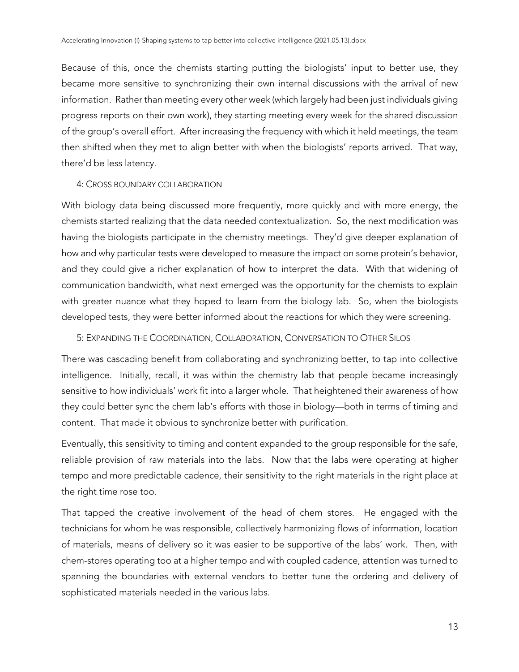Because of this, once the chemists starting putting the biologists' input to better use, they became more sensitive to synchronizing their own internal discussions with the arrival of new information. Rather than meeting every other week (which largely had been just individuals giving progress reports on their own work), they starting meeting every week for the shared discussion of the group's overall effort. After increasing the frequency with which it held meetings, the team then shifted when they met to align better with when the biologists' reports arrived. That way, there'd be less latency.

## 4: CROSS BOUNDARY COLLABORATION

With biology data being discussed more frequently, more quickly and with more energy, the chemists started realizing that the data needed contextualization. So, the next modification was having the biologists participate in the chemistry meetings. They'd give deeper explanation of how and why particular tests were developed to measure the impact on some protein's behavior, and they could give a richer explanation of how to interpret the data. With that widening of communication bandwidth, what next emerged was the opportunity for the chemists to explain with greater nuance what they hoped to learn from the biology lab. So, when the biologists developed tests, they were better informed about the reactions for which they were screening.

# 5: EXPANDING THE COORDINATION, COLLABORATION, CONVERSATION TO OTHER SILOS

There was cascading benefit from collaborating and synchronizing better, to tap into collective intelligence. Initially, recall, it was within the chemistry lab that people became increasingly sensitive to how individuals' work fit into a larger whole. That heightened their awareness of how they could better sync the chem lab's efforts with those in biology—both in terms of timing and content. That made it obvious to synchronize better with purification.

Eventually, this sensitivity to timing and content expanded to the group responsible for the safe, reliable provision of raw materials into the labs. Now that the labs were operating at higher tempo and more predictable cadence, their sensitivity to the right materials in the right place at the right time rose too.

That tapped the creative involvement of the head of chem stores. He engaged with the technicians for whom he was responsible, collectively harmonizing flows of information, location of materials, means of delivery so it was easier to be supportive of the labs' work. Then, with chem-stores operating too at a higher tempo and with coupled cadence, attention was turned to spanning the boundaries with external vendors to better tune the ordering and delivery of sophisticated materials needed in the various labs.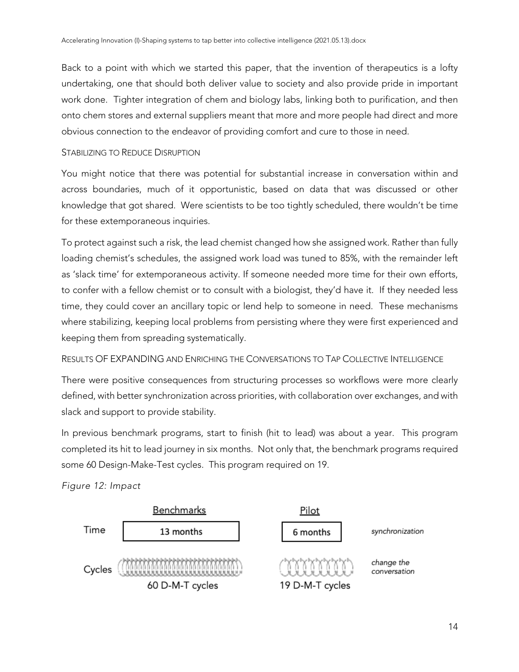Back to a point with which we started this paper, that the invention of therapeutics is a lofty undertaking, one that should both deliver value to society and also provide pride in important work done. Tighter integration of chem and biology labs, linking both to purification, and then onto chem stores and external suppliers meant that more and more people had direct and more obvious connection to the endeavor of providing comfort and cure to those in need.

### STABILIZING TO REDUCE DISRUPTION

You might notice that there was potential for substantial increase in conversation within and across boundaries, much of it opportunistic, based on data that was discussed or other knowledge that got shared. Were scientists to be too tightly scheduled, there wouldn't be time for these extemporaneous inquiries.

To protect against such a risk, the lead chemist changed how she assigned work. Rather than fully loading chemist's schedules, the assigned work load was tuned to 85%, with the remainder left as 'slack time' for extemporaneous activity. If someone needed more time for their own efforts, to confer with a fellow chemist or to consult with a biologist, they'd have it. If they needed less time, they could cover an ancillary topic or lend help to someone in need. These mechanisms where stabilizing, keeping local problems from persisting where they were first experienced and keeping them from spreading systematically.

## RESULTS OF EXPANDING AND ENRICHING THE CONVERSATIONS TO TAP COLLECTIVE INTELLIGENCE

There were positive consequences from structuring processes so workflows were more clearly defined, with better synchronization across priorities, with collaboration over exchanges, and with slack and support to provide stability.

In previous benchmark programs, start to finish (hit to lead) was about a year. This program completed its hit to lead journey in six months. Not only that, the benchmark programs required some 60 Design-Make-Test cycles. This program required on 19.

*Figure 12: Impact*

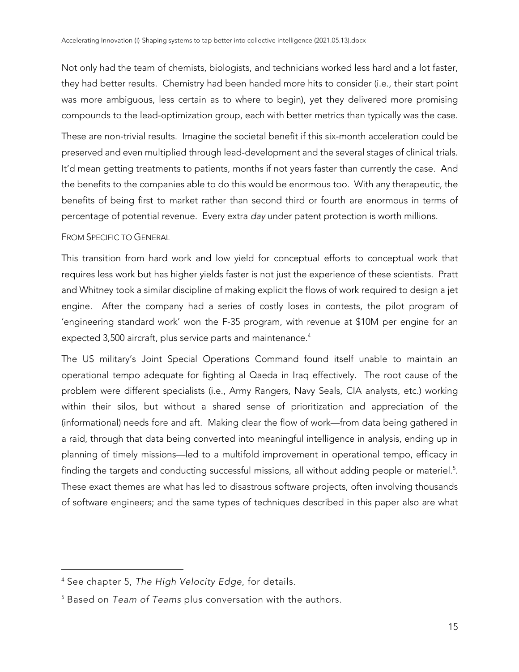Not only had the team of chemists, biologists, and technicians worked less hard and a lot faster, they had better results. Chemistry had been handed more hits to consider (i.e., their start point was more ambiguous, less certain as to where to begin), yet they delivered more promising compounds to the lead-optimization group, each with better metrics than typically was the case.

These are non-trivial results. Imagine the societal benefit if this six-month acceleration could be preserved and even multiplied through lead-development and the several stages of clinical trials. It'd mean getting treatments to patients, months if not years faster than currently the case. And the benefits to the companies able to do this would be enormous too. With any therapeutic, the benefits of being first to market rather than second third or fourth are enormous in terms of percentage of potential revenue. Every extra *day* under patent protection is worth millions.

# FROM SPECIFIC TO GENERAL

This transition from hard work and low yield for conceptual efforts to conceptual work that requires less work but has higher yields faster is not just the experience of these scientists. Pratt and Whitney took a similar discipline of making explicit the flows of work required to design a jet engine. After the company had a series of costly loses in contests, the pilot program of 'engineering standard work' won the F-35 program, with revenue at \$10M per engine for an expected 3,500 aircraft, plus service parts and maintenance. $^4$ 

The US military's Joint Special Operations Command found itself unable to maintain an operational tempo adequate for fighting al Qaeda in Iraq effectively. The root cause of the problem were different specialists (i.e., Army Rangers, Navy Seals, CIA analysts, etc.) working within their silos, but without a shared sense of prioritization and appreciation of the (informational) needs fore and aft. Making clear the flow of work—from data being gathered in a raid, through that data being converted into meaningful intelligence in analysis, ending up in planning of timely missions—led to a multifold improvement in operational tempo, efficacy in finding the targets and conducting successful missions, all without adding people or materiel. $5$ . These exact themes are what has led to disastrous software projects, often involving thousands of software engineers; and the same types of techniques described in this paper also are what

<sup>4</sup> See chapter 5, *The High Velocity Edge*, for details.

<sup>5</sup> Based on *Team of Teams* plus conversation with the authors.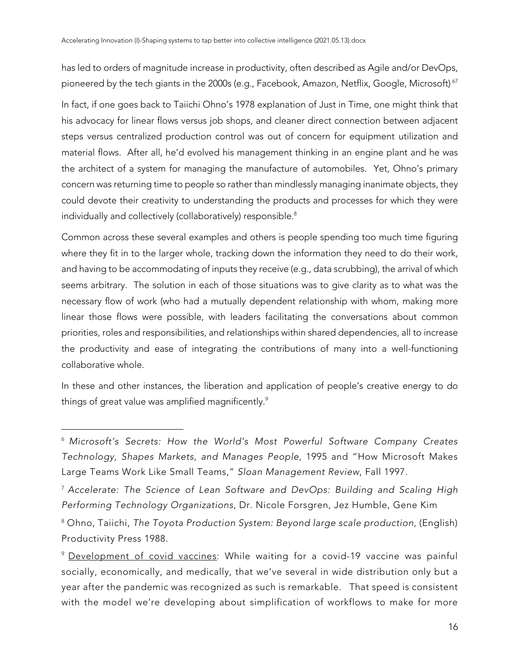has led to orders of magnitude increase in productivity, often described as Agile and/or DevOps, pioneered by the tech giants in the 2000s (e.g., Facebook, Amazon, Netflix, Google, Microsoft)<sup>67</sup>

In fact, if one goes back to Taiichi Ohno's 1978 explanation of Just in Time, one might think that his advocacy for linear flows versus job shops, and cleaner direct connection between adjacent steps versus centralized production control was out of concern for equipment utilization and material flows. After all, he'd evolved his management thinking in an engine plant and he was the architect of a system for managing the manufacture of automobiles. Yet, Ohno's primary concern was returning time to people so rather than mindlessly managing inanimate objects, they could devote their creativity to understanding the products and processes for which they were individually and collectively (collaboratively) responsible.<sup>8</sup>

Common across these several examples and others is people spending too much time figuring where they fit in to the larger whole, tracking down the information they need to do their work, and having to be accommodating of inputs they receive (e.g., data scrubbing), the arrival of which seems arbitrary. The solution in each of those situations was to give clarity as to what was the necessary flow of work (who had a mutually dependent relationship with whom, making more linear those flows were possible, with leaders facilitating the conversations about common priorities, roles and responsibilities, and relationships within shared dependencies, all to increase the productivity and ease of integrating the contributions of many into a well-functioning collaborative whole.

In these and other instances, the liberation and application of people's creative energy to do things of great value was amplified magnificently.<sup>9</sup>

<sup>6</sup> *Microsoft's Secrets: How the World's Most Powerful Software Company Creates Technology, Shapes Markets, and Manages People*, 1995 and "How Microsoft Makes Large Teams Work Like Small Teams," *Sloan Management Review*, Fall 1997.

<sup>7</sup> *Accelerate: The Science of Lean Software and DevOps: Building and Scaling High Performing Technology Organizations*, Dr. Nicole Forsgren, Jez Humble, Gene Kim

<sup>8</sup> Ohno, Taiichi, *The Toyota Production System: Beyond large scale production*, (English) Productivity Press 1988.

<sup>9</sup> Development of covid vaccines: While waiting for a covid-19 vaccine was painful socially, economically, and medically, that we've several in wide distribution only but a year after the pandemic was recognized as such is remarkable. That speed is consistent with the model we're developing about simplification of workflows to make for more